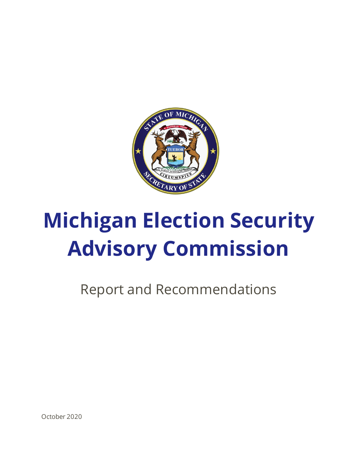

# **Michigan Election Security Advisory Commission**

Report and Recommendations

October 2020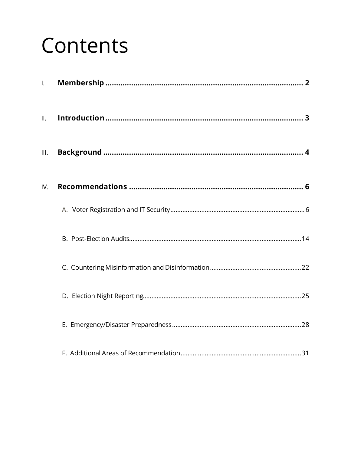## Contents

| $\mathbf{L}$ |  |
|--------------|--|
| II.          |  |
| III.         |  |
| IV.          |  |
|              |  |
|              |  |
|              |  |
|              |  |
|              |  |
|              |  |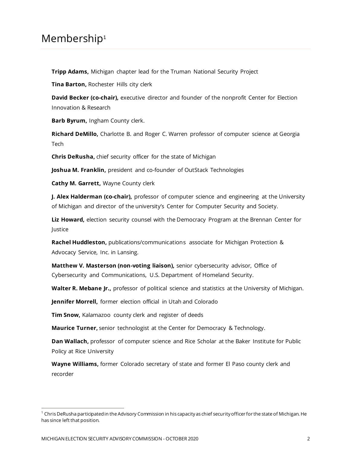### <span id="page-2-0"></span>Membership<sup>1</sup>

**Tripp Adams,** Michigan chapter lead for the Truman National Security Project

**Tina Barton,** Rochester Hills city clerk

**David Becker (co-chair),** executive director and founder of the nonprofit Center for Election Innovation & Research

**Barb Byrum,** Ingham County clerk.

**Richard DeMillo,** Charlotte B. and Roger C. Warren professor of computer science at Georgia Tech

**Chris DeRusha,** chief security officer for the state of Michigan

**Joshua M. Franklin,** president and co-founder of OutStack Technologies

**Cathy M. Garrett,** Wayne County clerk

**J. Alex Halderman (co-chair),** professor of computer science and engineering at the University of Michigan and director of the university's Center for Computer Security and Society.

**Liz Howard,** election security counsel with the Democracy Program at the Brennan Center for Justice

**Rachel Huddleston,** publications/communications associate for Michigan Protection & Advocacy Service, Inc. in Lansing.

**Matthew V. Masterson (non-voting liaison),** senior cybersecurity advisor, Office of Cybersecurity and Communications, U.S. Department of Homeland Security.

**Walter R. Mebane Jr.,** professor of political science and statistics at the University of Michigan.

**Jennifer Morrell,** former election official in Utah and Colorado

**Tim Snow,** Kalamazoo county clerk and register of deeds

**Maurice Turner,** senior technologist at the Center for Democracy & Technology.

**Dan Wallach,** professor of computer science and Rice Scholar at the Baker Institute for Public Policy at Rice University

**Wayne Williams,** former Colorado secretary of state and former El Paso county clerk and recorder

 $1$  Chris DeRusha participated in the Advisory Commission in his capacity as chief security officer for the state of Michigan. He has since left that position.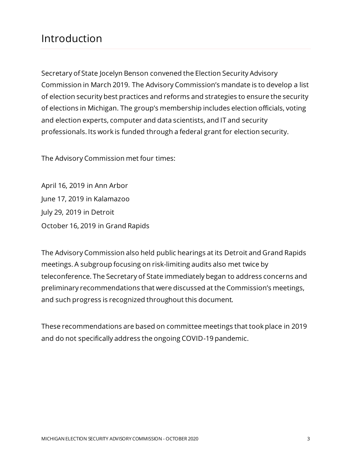## <span id="page-3-0"></span>Introduction

Secretary of State Jocelyn Benson convened the Election Security Advisory Commission in March 2019. The Advisory Commission's mandate is to develop a list of election security best practices and reforms and strategies to ensure the security of elections in Michigan. The group's membership includes election officials, voting and election experts, computer and data scientists, and IT and security professionals. Its work is funded through a federal grant for election security.

The Advisory Commission met four times:

April 16, 2019 in Ann Arbor June 17, 2019 in Kalamazoo July 29, 2019 in Detroit October 16, 2019 in Grand Rapids

The Advisory Commission also held public hearings at its Detroit and Grand Rapids meetings. A subgroup focusing on risk-limiting audits also met twice by teleconference. The Secretary of State immediately began to address concerns and preliminary recommendations that were discussed at the Commission's meetings, and such progress is recognized throughout this document.

These recommendations are based on committee meetings that took place in 2019 and do not specifically address the ongoing COVID-19 pandemic.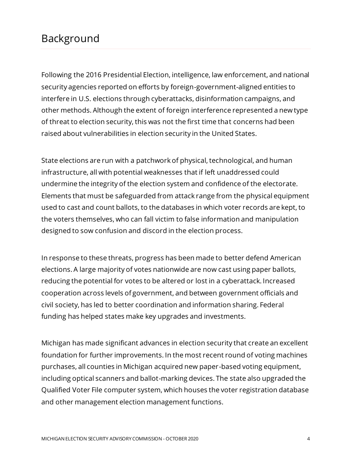## <span id="page-4-0"></span>Background

Following the 2016 Presidential Election, intelligence, law enforcement, and national security agencies reported on efforts by foreign-government-aligned entities to interfere in U.S. elections through cyberattacks, disinformation campaigns, and other methods. Although the extent of foreign interference represented a new type of threat to election security, this was not the first time that concerns had been raised about vulnerabilities in election security in the United States.

State elections are run with a patchwork of physical, technological, and human infrastructure, all with potential weaknesses that if left unaddressed could undermine the integrity of the election system and confidence of the electorate. Elements that must be safeguarded from attack range from the physical equipment used to cast and count ballots, to the databases in which voter records are kept, to the voters themselves, who can fall victim to false information and manipulation designed to sow confusion and discord in the election process.

In response to these threats, progress has been made to better defend American elections. A large majority of votes nationwide are now cast using paper ballots, reducing the potential for votes to be altered or lost in a cyberattack. Increased cooperation across levels of government, and between government officials and civil society, has led to better coordination and information sharing. Federal funding has helped states make key upgrades and investments.

Michigan has made significant advances in election security that create an excellent foundation for further improvements. In the most recent round of voting machines purchases, all counties in Michigan acquired new paper-based voting equipment, including optical scanners and ballot-marking devices. The state also upgraded the Qualified Voter File computer system, which houses the voter registration database and other management election management functions.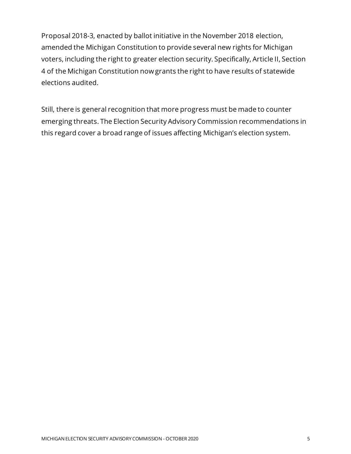Proposal 2018-3, enacted by ballot initiative in the November 2018 election, amended the Michigan Constitution to provide several new rights for Michigan voters, including the right to greater election security. Specifically, Article II, Section 4 of the Michigan Constitution now grants the right to have results of statewide elections audited.

Still, there is general recognition that more progress must be made to counter emerging threats. The Election Security Advisory Commission recommendations in this regard cover a broad range of issues affecting Michigan's election system.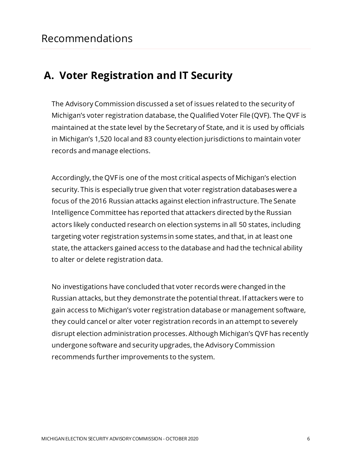## <span id="page-6-1"></span><span id="page-6-0"></span>**A. Voter Registration and IT Security**

The Advisory Commission discussed a set of issues related to the security of Michigan's voter registration database, the Qualified Voter File (QVF). The QVF is maintained at the state level by the Secretary of State, and it is used by officials in Michigan's 1,520 local and 83 county election jurisdictions to maintain voter records and manage elections.

Accordingly, the QVF is one of the most critical aspects of Michigan's election security. This is especially true given that voter registration databases were a focus of the 2016 Russian attacks against election infrastructure. The Senate Intelligence Committee has reported that attackers directed by the Russian actors likely conducted research on election systems in all 50 states, including targeting voter registration systems in some states, and that, in at least one state, the attackers gained access to the database and had the technical ability to alter or delete registration data.

No investigations have concluded that voter records were changed in the Russian attacks, but they demonstrate the potential threat. If attackers were to gain access to Michigan's voter registration database or management software, they could cancel or alter voter registration records in an attempt to severely disrupt election administration processes. Although Michigan's QVF has recently undergone software and security upgrades, the Advisory Commission recommends further improvements to the system.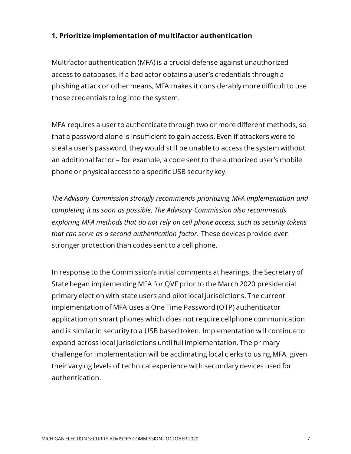#### **1. Prioritize implementation of multifactor authentication**

Multifactor authentication (MFA) is a crucial defense against unauthorized access to databases. If a bad actor obtains a user's credentials through a phishing attack or other means, MFA makes it considerably more difficult to use those credentials to log into the system.

MFA requires a user to authenticate through two or more different methods, so that a password alone is insufficient to gain access. Even if attackers were to steal a user's password, they would still be unable to access the system without an additional factor – for example, a code sent to the authorized user's mobile phone or physical access to a specific USB security key.

*The Advisory Commission strongly recommends prioritizing MFA implementation and completing it as soon as possible. The Advisory Commission also recommends exploring MFA methods that do not rely on cell phone access, such as security tokens that can serve as a second authentication factor.* These devices provide even stronger protection than codes sent to a cell phone.

In response to the Commission's initial comments at hearings, the Secretary of State began implementing MFA for QVF prior to the March 2020 presidential primary election with state users and pilot local jurisdictions. The current implementation of MFA uses a One Time Password (OTP) authenticator application on smart phones which does not require cellphone communication and is similar in security to a USB based token. Implementation will continue to expand across local jurisdictions until full implementation. The primary challenge for implementation will be acclimating local clerks to using MFA, given their varying levels of technical experience with secondary devices used for authentication.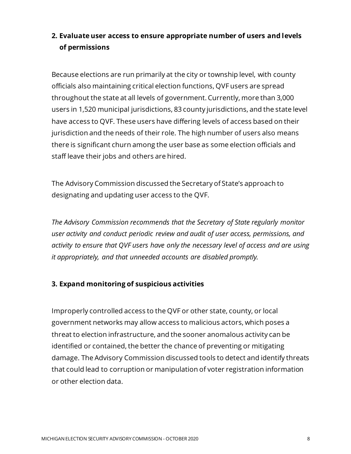#### **2. Evaluate user access to ensure appropriate number of users and levels of permissions**

Because elections are run primarily at the city or township level, with county officials also maintaining critical election functions, QVF users are spread throughout the state at all levels of government. Currently, more than 3,000 users in 1,520 municipal jurisdictions, 83 county jurisdictions, and the state level have access to QVF. These users have differing levels of access based on their jurisdiction and the needs of their role. The high number of users also means there is significant churn among the user base as some election officials and staff leave their jobs and others are hired.

The Advisory Commission discussed the Secretary of State's approach to designating and updating user access to the QVF.

*The Advisory Commission recommends that the Secretary of State regularly monitor user activity and conduct periodic review and audit of user access, permissions, and activity to ensure that QVF users have only the necessary level of access and are using it appropriately, and that unneeded accounts are disabled promptly.* 

#### **3. Expand monitoring of suspicious activities**

Improperly controlled access to the QVF or other state, county, or local government networks may allow access to malicious actors, which poses a threat to election infrastructure, and the sooner anomalous activity can be identified or contained, the better the chance of preventing or mitigating damage. The Advisory Commission discussed tools to detect and identify threats that could lead to corruption or manipulation of voter registration information or other election data.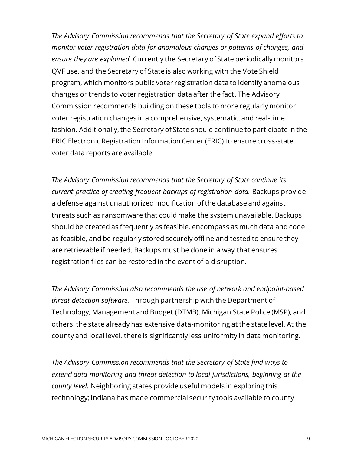*The Advisory Commission recommends that the Secretary of State expand efforts to monitor voter registration data for anomalous changes or patterns of changes, and ensure they are explained.* Currently the Secretary of State periodically monitors QVF use, and the Secretary of State is also working with the Vote Shield program, which monitors public voter registration data to identify anomalous changes or trends to voter registration data after the fact. The Advisory Commission recommends building on these tools to more regularly monitor voter registration changes in a comprehensive, systematic, and real-time fashion. Additionally, the Secretary of State should continue to participate in the ERIC Electronic Registration Information Center (ERIC) to ensure cross-state voter data reports are available.

*The Advisory Commission recommends that the Secretary of State continue its current practice of creating frequent backups of registration data.* Backups provide a defense against unauthorized modification of the database and against threats such as ransomware that could make the system unavailable. Backups should be created as frequently as feasible, encompass as much data and code as feasible, and be regularly stored securely offline and tested to ensure they are retrievable if needed. Backups must be done in a way that ensures registration files can be restored in the event of a disruption.

*The Advisory Commission also recommends the use of network and endpoint-based threat detection software.* Through partnership with the Department of Technology, Management and Budget (DTMB), Michigan State Police (MSP), and others, the state already has extensive data-monitoring at the state level. At the county and local level, there is significantly less uniformity in data monitoring.

*The Advisory Commission recommends that the Secretary of State find ways to extend data monitoring and threat detection to local jurisdictions, beginning at the county level.* Neighboring states provide useful models in exploring this technology; Indiana has made commercial security tools available to county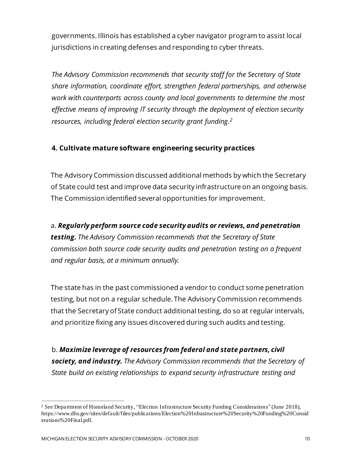governments. Illinois has established a cyber navigator program to assist local jurisdictions in creating defenses and responding to cyber threats.

*The Advisory Commission recommends that security staff for the Secretary of State share information, coordinate effort, strengthen federal partnerships, and otherwise work with counterparts across county and local governments to determine the most effective means of improving IT security through the deployment of election security resources, including federal election security grant funding.<sup>2</sup>*

#### **4. Cultivate mature software engineering security practices**

The Advisory Commission discussed additional methods by which the Secretary of State could test and improve data security infrastructure on an ongoing basis. The Commission identified several opportunities for improvement.

a. *Regularly perform source code security audits or reviews, and penetration testing. The Advisory Commission recommends that the Secretary of State commission both source code security audits and penetration testing on a frequent and regular basis, at a minimum annually.*

The state has in the past commissioned a vendor to conduct some penetration testing, but not on a regular schedule. The Advisory Commission recommends that the Secretary of State conduct additional testing, do so at regular intervals, and prioritize fixing any issues discovered during such audits and testing.

b. *Maximize leverage of resources from federal and state partners, civil society, and industry. The Advisory Commission recommends that the Secretary of State build on existing relationships to expand security infrastructure testing and* 

<sup>2</sup> *See* Department of Homeland Security, "Election Infrastructure Security Funding Considerations" (June 2018), https://www.dhs.gov/sites/default/files/publications/Election%20Infrastructure%20Security%20Funding%20Consid erations%20Final.pdf.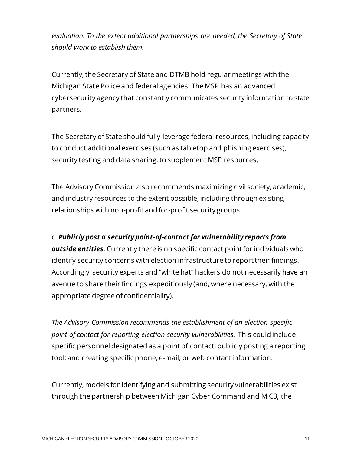*evaluation. To the extent additional partnerships are needed, the Secretary of State should work to establish them.*

Currently, the Secretary of State and DTMB hold regular meetings with the Michigan State Police and federal agencies. The MSP has an advanced cybersecurity agency that constantly communicates security information to state partners.

The Secretary of State should fully leverage federal resources, including capacity to conduct additional exercises (such as tabletop and phishing exercises), security testing and data sharing, to supplement MSP resources.

The Advisory Commission also recommends maximizing civil society, academic, and industry resources to the extent possible, including through existing relationships with non-profit and for-profit security groups.

#### c. *Publicly post a security point-of-contact for vulnerability reports from*

*outside entities.* Currently there is no specific contact point for individuals who identify security concerns with election infrastructure to report their findings. Accordingly, security experts and "white hat" hackers do not necessarily have an avenue to share their findings expeditiously (and, where necessary, with the appropriate degree of confidentiality).

*The Advisory Commission recommends the establishment of an election-specific point of contact for reporting election security vulnerabilities.* This could include specific personnel designated as a point of contact; publicly posting a reporting tool; and creating specific phone, e-mail, or web contact information.

Currently, models for identifying and submitting security vulnerabilities exist through the partnership between Michigan Cyber Command and MiC3, the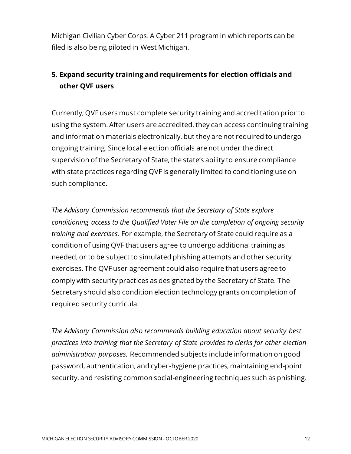Michigan Civilian Cyber Corps. A Cyber 211 program in which reports can be filed is also being piloted in West Michigan.

#### **5. Expand security training and requirements for election officials and other QVF users**

Currently, QVF users must complete security training and accreditation prior to using the system. After users are accredited, they can access continuing training and information materials electronically, but they are not required to undergo ongoing training. Since local election officials are not under the direct supervision of the Secretary of State, the state's ability to ensure compliance with state practices regarding QVF is generally limited to conditioning use on such compliance.

*The Advisory Commission recommends that the Secretary of State explore conditioning access to the Qualified Voter File on the completion of ongoing security training and exercises.* For example, the Secretary of State could require as a condition of using QVF that users agree to undergo additional training as needed, or to be subject to simulated phishing attempts and other security exercises. The QVF user agreement could also require that users agree to comply with security practices as designated by the Secretary of State. The Secretary should also condition election technology grants on completion of required security curricula.

*The Advisory Commission also recommends building education about security best practices into training that the Secretary of State provides to clerks for other election administration purposes.* Recommended subjects include information on good password, authentication, and cyber-hygiene practices, maintaining end-point security, and resisting common social-engineering techniques such as phishing.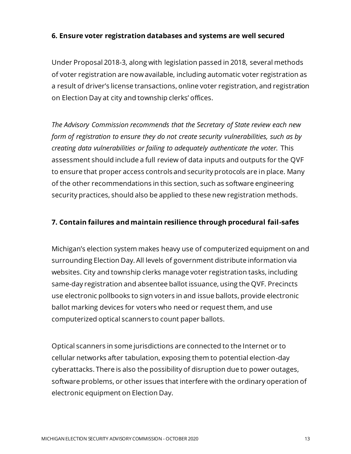#### **6. Ensure voter registration databases and systems are well secured**

Under Proposal 2018-3, along with legislation passed in 2018, several methods of voter registration are now available, including automatic voter registration as a result of driver's license transactions, online voter registration, and registration on Election Day at city and township clerks' offices.

*The Advisory Commission recommends that the Secretary of State review each new form of registration to ensure they do not create security vulnerabilities, such as by creating data vulnerabilities or failing to adequately authenticate the voter.* This assessment should include a full review of data inputs and outputs for the QVF to ensure that proper access controls and security protocols are in place. Many of the other recommendations in this section, such as software engineering security practices, should also be applied to these new registration methods.

#### **7. Contain failures and maintain resilience through procedural fail-safes**

Michigan's election system makes heavy use of computerized equipment on and surrounding Election Day. All levels of government distribute information via websites. City and township clerks manage voter registration tasks, including same-day registration and absentee ballot issuance, using the QVF. Precincts use electronic pollbooks to sign voters in and issue ballots, provide electronic ballot marking devices for voters who need or request them, and use computerized optical scanners to count paper ballots.

Optical scanners in some jurisdictions are connected to the Internet or to cellular networks after tabulation, exposing them to potential election-day cyberattacks. There is also the possibility of disruption due to power outages, software problems, or other issues that interfere with the ordinary operation of electronic equipment on Election Day.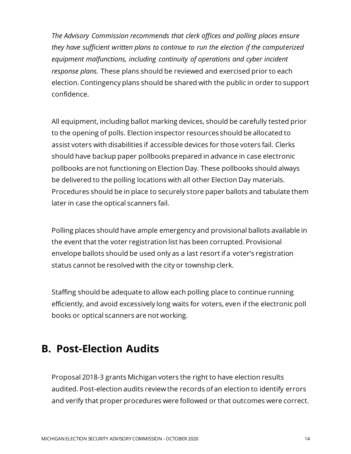*The Advisory Commission recommends that clerk offices and polling places ensure they have sufficient written plans to continue to run the election if the computerized equipment malfunctions, including continuity of operations and cyber incident response plans.* These plans should be reviewed and exercised prior to each election. Contingency plans should be shared with the public in order to support confidence.

All equipment, including ballot marking devices, should be carefully tested prior to the opening of polls. Election inspector resources should be allocated to assist voters with disabilities if accessible devices for those voters fail. Clerks should have backup paper pollbooks prepared in advance in case electronic pollbooks are not functioning on Election Day. These pollbooks should always be delivered to the polling locations with all other Election Day materials. Procedures should be in place to securely store paper ballots and tabulate them later in case the optical scanners fail.

Polling places should have ample emergency and provisional ballots available in the event that the voter registration list has been corrupted. Provisional envelope ballots should be used only as a last resort if a voter's registration status cannot be resolved with the city or township clerk.

Staffing should be adequate to allow each polling place to continue running efficiently, and avoid excessively long waits for voters, even if the electronic poll books or optical scanners are not working.

## <span id="page-14-0"></span>**B. Post-Election Audits**

Proposal 2018-3 grants Michigan voters the right to have election results audited. Post-election audits review the records of an election to identify errors and verify that proper procedures were followed or that outcomes were correct.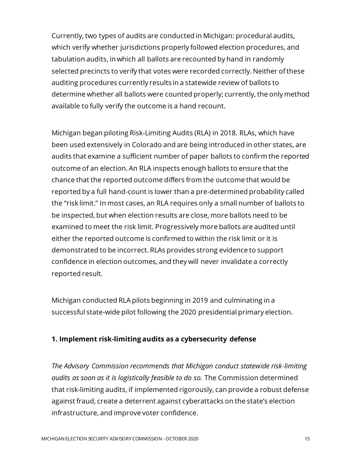Currently, two types of audits are conducted in Michigan: procedural audits, which verify whether jurisdictions properly followed election procedures, and tabulation audits, in which all ballots are recounted by hand in randomly selected precincts to verify that votes were recorded correctly. Neither of these auditing procedures currently results in a statewide review of ballots to determine whether all ballots were counted properly; currently, the only method available to fully verify the outcome is a hand recount.

Michigan began piloting Risk-Limiting Audits (RLA) in 2018. RLAs, which have been used extensively in Colorado and are being introduced in other states, are audits that examine a sufficient number of paper ballots to confirm the reported outcome of an election. An RLA inspects enough ballots to ensure that the chance that the reported outcome differs from the outcome that would be reported by a full hand-count is lower than a pre-determined probability called the "risk limit." In most cases, an RLA requires only a small number of ballots to be inspected, but when election results are close, more ballots need to be examined to meet the risk limit. Progressively more ballots are audited until either the reported outcome is confirmed to within the risk limit or it is demonstrated to be incorrect. RLAs provides strong evidence to support confidence in election outcomes, and they will never invalidate a correctly reported result.

Michigan conducted RLA pilots beginning in 2019 and culminating in a successful state-wide pilot following the 2020 presidential primary election.

#### **1. Implement risk-limiting audits as a cybersecurity defense**

*The Advisory Commission recommends that Michigan conduct statewide risk-limiting audits as soon as it is logistically feasible to do so.* The Commission determined that risk-limiting audits, if implemented rigorously, can provide a robust defense against fraud, create a deterrent against cyberattacks on the state's election infrastructure, and improve voter confidence.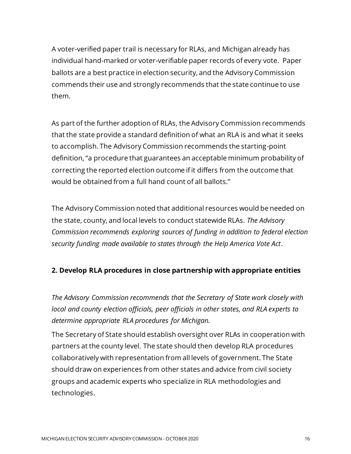A voter-verified paper trail is necessary for RLAs, and Michigan already has individual hand-marked or voter-verifiable paper records of every vote. Paper ballots are a best practice in election security, and the Advisory Commission commends their use and strongly recommends that the state continue to use them.

As part of the further adoption of RLAs, the Advisory Commission recommends that the state provide a standard definition of what an RLA is and what it seeks to accomplish. The Advisory Commission recommends the starting-point definition, "a procedure that guarantees an acceptable minimum probability of correcting the reported election outcome if it differs from the outcome that would be obtained from a full hand count of all ballots."

The Advisory Commission noted that additional resources would be needed on the state, county, and local levels to conduct statewide RLAs. *The Advisory Commission recommends exploring sources of funding in addition to federal election security funding made available to states through the Help America Vote Act*.

#### **2. Develop RLA procedures in close partnership with appropriate entities**

*The Advisory Commission recommends that the Secretary of State work closely with local and county election officials, peer officials in other states, and RLA experts to determine appropriate RLA procedures for Michigan.*

The Secretary of State should establish oversight over RLAs in cooperation with partners at the county level. The state should then develop RLA procedures collaboratively with representation from all levels of government. The State should draw on experiences from other states and advice from civil society groups and academic experts who specialize in RLA methodologies and technologies.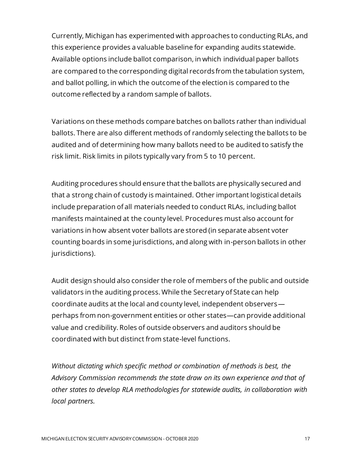Currently, Michigan has experimented with approaches to conducting RLAs, and this experience provides a valuable baseline for expanding audits statewide. Available options include ballot comparison, in which individual paper ballots are compared to the corresponding digital records from the tabulation system, and ballot polling, in which the outcome of the election is compared to the outcome reflected by a random sample of ballots.

Variations on these methods compare batches on ballots rather than individual ballots. There are also different methods of randomly selecting the ballots to be audited and of determining how many ballots need to be audited to satisfy the risk limit. Risk limits in pilots typically vary from 5 to 10 percent.

Auditing procedures should ensure that the ballots are physically secured and that a strong chain of custody is maintained. Other important logistical details include preparation of all materials needed to conduct RLAs, including ballot manifests maintained at the county level. Procedures must also account for variations in how absent voter ballots are stored (in separate absent voter counting boards in some jurisdictions, and along with in-person ballots in other jurisdictions).

Audit design should also consider the role of members of the public and outside validators in the auditing process. While the Secretary of State can help coordinate audits at the local and county level, independent observers perhaps from non-government entities or other states—can provide additional value and credibility. Roles of outside observers and auditors should be coordinated with but distinct from state-level functions.

*Without dictating which specific method or combination of methods is best, the Advisory Commission recommends the state draw on its own experience and that of other states to develop RLA methodologies for statewide audits, in collaboration with local partners.*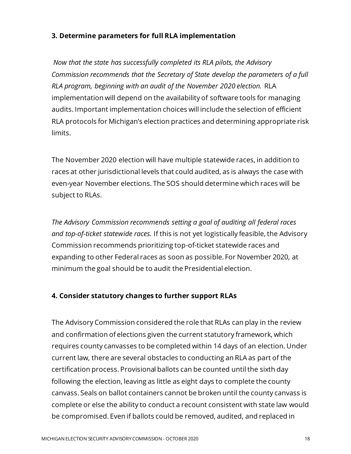#### **3. Determine parameters for full RLA implementation**

*Now that the state has successfully completed its RLA pilots, the Advisory Commission recommends that the Secretary of State develop the parameters of a full RLA program, beginning with an audit of the November 2020 election.* RLA implementation will depend on the availability of software tools for managing audits. Important implementation choices will include the selection of efficient RLA protocols for Michigan's election practices and determining appropriate risk limits.

The November 2020 election will have multiple statewide races, in addition to races at other jurisdictional levels that could audited, as is always the case with even-year November elections. The SOS should determine which races will be subject to RLAs.

*The Advisory Commission recommends setting a goal of auditing all federal races and top-of-ticket statewide races.* If this is not yet logistically feasible, the Advisory Commission recommends prioritizing top-of-ticket statewide races and expanding to other Federal races as soon as possible. For November 2020, at minimum the goal should be to audit the Presidential election.

#### **4. Consider statutory changes to further support RLAs**

The Advisory Commission considered the role that RLAs can play in the review and confirmation of elections given the current statutory framework, which requires county canvasses to be completed within 14 days of an election. Under current law, there are several obstacles to conducting an RLA as part of the certification process. Provisional ballots can be counted until the sixth day following the election, leaving as little as eight days to complete the county canvass. Seals on ballot containers cannot be broken until the county canvass is complete or else the ability to conduct a recount consistent with state law would be compromised. Even if ballots could be removed, audited, and replaced in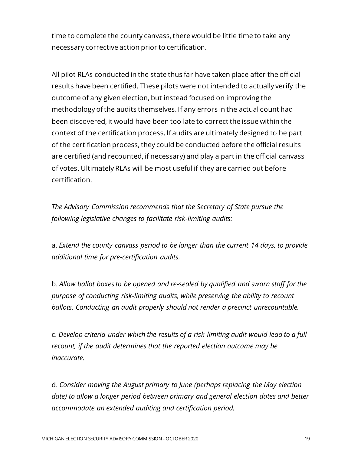time to complete the county canvass, there would be little time to take any necessary corrective action prior to certification.

All pilot RLAs conducted in the state thus far have taken place after the official results have been certified. These pilots were not intended to actually verify the outcome of any given election, but instead focused on improving the methodology of the audits themselves. If any errors in the actual count had been discovered, it would have been too late to correct the issue within the context of the certification process. If audits are ultimately designed to be part of the certification process, they could be conducted before the official results are certified (and recounted, if necessary) and play a part in the official canvass of votes. Ultimately RLAs will be most useful if they are carried out before certification.

*The Advisory Commission recommends that the Secretary of State pursue the following legislative changes to facilitate risk-limiting audits:*

a. *Extend the county canvass period to be longer than the current 14 days, to provide additional time for pre-certification audits.*

b. *Allow ballot boxes to be opened and re-sealed by qualified and sworn staff for the purpose of conducting risk-limiting audits, while preserving the ability to recount ballots. Conducting an audit properly should not render a precinct unrecountable.* 

c. *Develop criteria under which the results of a risk-limiting audit would lead to a full recount, if the audit determines that the reported election outcome may be inaccurate.*

d. *Consider moving the August primary to June (perhaps replacing the May election date) to allow a longer period between primary and general election dates and better accommodate an extended auditing and certification period.*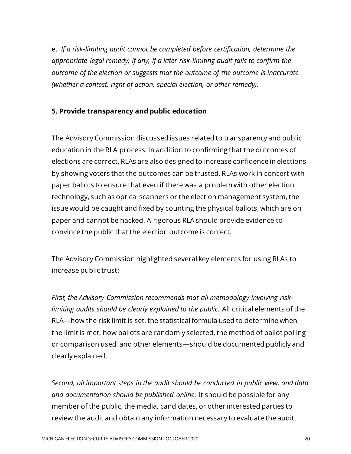e. *If a risk-limiting audit cannot be completed before certification, determine the appropriate legal remedy, if any, if a later risk-limiting audit fails to confirm the outcome of the election or suggests that the outcome of the outcome is inaccurate (whether a contest, right of action, special election, or other remedy).*

#### **5. Provide transparency and public education**

The Advisory Commission discussed issues related to transparency and public education in the RLA process. In addition to confirming that the outcomes of elections are correct, RLAs are also designed to increase confidence in elections by showing voters that the outcomes can be trusted. RLAs work in concert with paper ballots to ensure that even if there was a problem with other election technology, such as optical scanners or the election management system, the issue would be caught and fixed by counting the physical ballots, which are on paper and cannot be hacked. A rigorous RLA should provide evidence to convince the public that the election outcome is correct.

The Advisory Commission highlighted several key elements for using RLAs to increase public trust:

*First, the Advisory Commission recommends that all methodology involving risklimiting audits should be clearly explained to the public.* All critical elements of the RLA—how the risk limit is set, the statistical formula used to determine when the limit is met, how ballots are randomly selected, the method of ballot polling or comparison used, and other elements—should be documented publicly and clearly explained.

*Second, all important steps in the audit should be conducted in public view, and data and documentation should be published online.* It should be possible for any member of the public, the media, candidates, or other interested parties to review the audit and obtain any information necessary to evaluate the audit.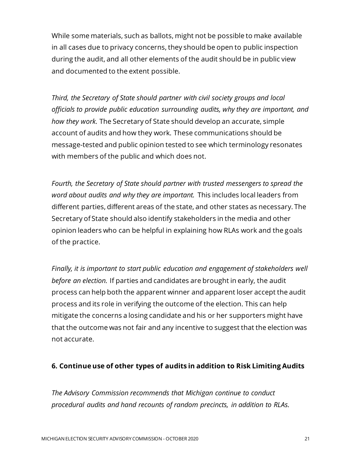While some materials, such as ballots, might not be possible to make available in all cases due to privacy concerns, they should be open to public inspection during the audit, and all other elements of the audit should be in public view and documented to the extent possible.

*Third, the Secretary of State should partner with civil society groups and local officials to provide public education surrounding audits, why they are important, and how they work.* The Secretary of State should develop an accurate, simple account of audits and how they work. These communications should be message-tested and public opinion tested to see which terminology resonates with members of the public and which does not.

*Fourth, the Secretary of State should partner with trusted messengers to spread the word about audits and why they are important.* This includes local leaders from different parties, different areas of the state, and other states as necessary. The Secretary of State should also identify stakeholders in the media and other opinion leaders who can be helpful in explaining how RLAs work and the goals of the practice.

*Finally, it is important to start public education and engagement of stakeholders well before an election.* If parties and candidates are brought in early, the audit process can help both the apparent winner and apparent loser accept the audit process and its role in verifying the outcome of the election. This can help mitigate the concerns a losing candidate and his or her supporters might have that the outcome was not fair and any incentive to suggest that the election was not accurate.

#### **6. Continue use of other types of audits in addition to Risk Limiting Audits**

*The Advisory Commission recommends that Michigan continue to conduct procedural audits and hand recounts of random precincts, in addition to RLAs.*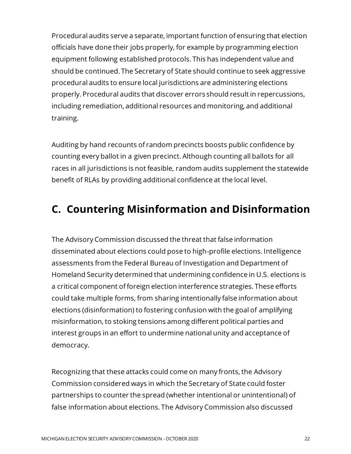Procedural audits serve a separate, important function of ensuring that election officials have done their jobs properly, for example by programming election equipment following established protocols. This has independent value and should be continued. The Secretary of State should continue to seek aggressive procedural audits to ensure local jurisdictions are administering elections properly. Procedural audits that discover errors should result in repercussions, including remediation, additional resources and monitoring, and additional training.

Auditing by hand recounts of random precincts boosts public confidence by counting every ballot in a given precinct. Although counting all ballots for all races in all jurisdictions is not feasible, random audits supplement the statewide benefit of RLAs by providing additional confidence at the local level.

## **C. Countering Misinformation and Disinformation**

The Advisory Commission discussed the threat that false information disseminated about elections could pose to high-profile elections. Intelligence assessments from the Federal Bureau of Investigation and Department of Homeland Security determined that undermining confidence in U.S. elections is a critical component of foreign election interference strategies. These efforts could take multiple forms, from sharing intentionally false information about elections (disinformation) to fostering confusion with the goal of amplifying misinformation, to stoking tensions among different political parties and interest groups in an effort to undermine national unity and acceptance of democracy.

Recognizing that these attacks could come on many fronts, the Advisory Commission considered ways in which the Secretary of State could foster partnerships to counter the spread (whether intentional or unintentional) of false information about elections. The Advisory Commission also discussed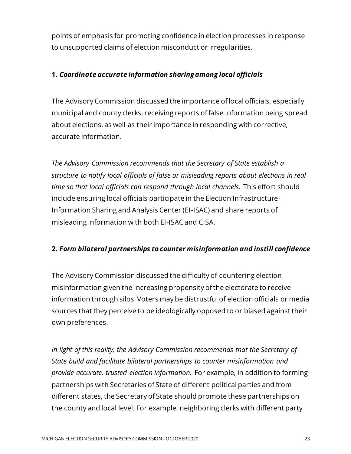points of emphasis for promoting confidence in election processes in response to unsupported claims of election misconduct or irregularities.

#### **1.** *Coordinate accurate information sharing among local officials*

The Advisory Commission discussed the importance of local officials, especially municipal and county clerks, receiving reports of false information being spread about elections, as well as their importance in responding with corrective, accurate information.

*The Advisory Commission recommends that the Secretary of State establish a structure to notify local officials of false or misleading reports about elections in real time so that local officials can respond through local channels.* This effort should include ensuring local officials participate in the Election Infrastructure-Information Sharing and Analysis Center (EI-ISAC) and share reports of misleading information with both EI-ISAC and CISA.

#### **2.** *Form bilateral partnerships to counter misinformation and instill confidence*

The Advisory Commission discussed the difficulty of countering election misinformation given the increasing propensity of the electorate to receive information through silos. Voters may be distrustful of election officials or media sources that they perceive to be ideologically opposed to or biased against their own preferences.

*In light of this reality, the Advisory Commission recommends that the Secretary of State build and facilitate bilateral partnerships to counter misinformation and provide accurate, trusted election information.* For example, in addition to forming partnerships with Secretaries of State of different political parties and from different states, the Secretary of State should promote these partnerships on the county and local level. For example, neighboring clerks with different party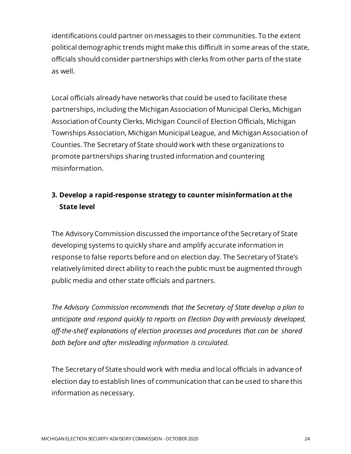identifications could partner on messages to their communities. To the extent political demographic trends might make this difficult in some areas of the state, officials should consider partnerships with clerks from other parts of the state as well.

Local officials already have networks that could be used to facilitate these partnerships, including the Michigan Association of Municipal Clerks, Michigan Association of County Clerks, Michigan Council of Election Officials, Michigan Townships Association, Michigan Municipal League, and Michigan Association of Counties. The Secretary of State should work with these organizations to promote partnerships sharing trusted information and countering misinformation.

#### **3. Develop a rapid-response strategy to counter misinformation at the State level**

The Advisory Commission discussed the importance of the Secretary of State developing systems to quickly share and amplify accurate information in response to false reports before and on election day. The Secretary of State's relatively limited direct ability to reach the public must be augmented through public media and other state officials and partners.

*The Advisory Commission recommends that the Secretary of State develop a plan to anticipate and respond quickly to reports on Election Day with previously developed, off-the-shelf explanations of election processes and procedures that can be shared both before and after misleading information is circulated.*

The Secretary of State should work with media and local officials in advance of election day to establish lines of communication that can be used to share this information as necessary.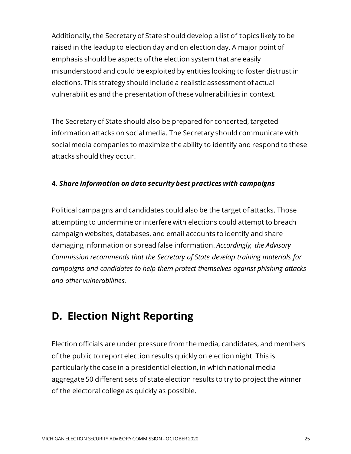Additionally, the Secretary of State should develop a list of topics likely to be raised in the leadup to election day and on election day. A major point of emphasis should be aspects of the election system that are easily misunderstood and could be exploited by entities looking to foster distrust in elections. This strategy should include a realistic assessment of actual vulnerabilities and the presentation of these vulnerabilities in context.

The Secretary of State should also be prepared for concerted, targeted information attacks on social media. The Secretary should communicate with social media companies to maximize the ability to identify and respond to these attacks should they occur.

#### **4.** *Share information on data security best practices with campaigns*

Political campaigns and candidates could also be the target of attacks. Those attempting to undermine or interfere with elections could attempt to breach campaign websites, databases, and email accounts to identify and share damaging information or spread false information. *Accordingly, the Advisory Commission recommends that the Secretary of State develop training materials for campaigns and candidates to help them protect themselves against phishing attacks and other vulnerabilities.*

## **D. Election Night Reporting**

Election officials are under pressure from the media, candidates, and members of the public to report election results quickly on election night. This is particularly the case in a presidential election, in which national media aggregate 50 different sets of state election results to try to project the winner of the electoral college as quickly as possible.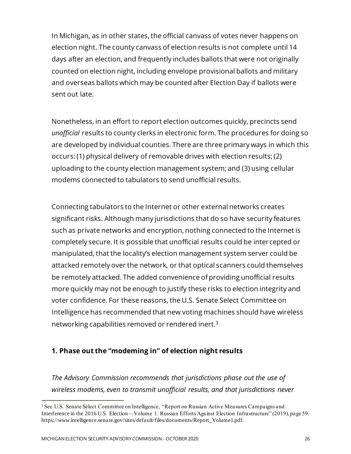In Michigan, as in other states, the official canvass of votes never happens on election night. The county canvass of election results is not complete until 14 days after an election, and frequently includes ballots that were not originally counted on election night, including envelope provisional ballots and military and overseas ballots which may be counted after Election Day if ballots were sent out late.

Nonetheless, in an effort to report election outcomes quickly, precincts send *unofficial* results to county clerks in electronic form. The procedures for doing so are developed by individual counties. There are three primary ways in which this occurs: (1) physical delivery of removable drives with election results; (2) uploading to the county election management system; and (3) using cellular modems connected to tabulators to send unofficial results.

Connecting tabulators to the Internet or other external networks creates significant risks. Although many jurisdictions that do so have security features such as private networks and encryption, nothing connected to the Internet is completely secure. It is possible that unofficial results could be intercepted or manipulated, that the locality's election management system server could be attacked remotely over the network, or that optical scanners could themselves be remotely attacked. The added convenience of providing unofficial results more quickly may not be enough to justify these risks to election integrity and voter confidence. For these reasons, the U.S. Senate Select Committee on Intelligence has recommended that new voting machines should have wireless networking capabilities removed or rendered inert.<sup>3</sup>

#### **1. Phase out the "modeming in" of election night results**

*The Advisory Commission recommends that jurisdictions phase out the use of wireless modems, even to transmit unofficial results, and that jurisdictions never* 

<sup>3</sup> See U.S. Senate Select Committee on Intelligence, "Report on Russian Active Measures Campaigns and Interference in the 2016 U.S. Election—Volume 1: Russian Efforts Against Election Infrastructure" (2019), page 59. https://www.intelligence.senate.gov/sites/default/files/documents/Report\_Volume1.pdf.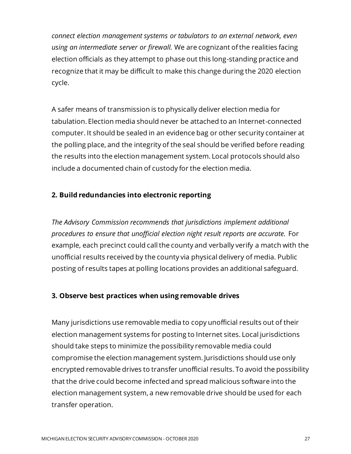*connect election management systems or tabulators to an external network, even using an intermediate server or firewall.* We are cognizant of the realities facing election officials as they attempt to phase out this long-standing practice and recognize that it may be difficult to make this change during the 2020 election cycle.

A safer means of transmission is to physically deliver election media for tabulation. Election media should never be attached to an Internet-connected computer. It should be sealed in an evidence bag or other security container at the polling place, and the integrity of the seal should be verified before reading the results into the election management system. Local protocols should also include a documented chain of custody for the election media.

#### **2. Build redundancies into electronic reporting**

*The Advisory Commission recommends that jurisdictions implement additional procedures to ensure that unofficial election night result reports are accurate.* For example, each precinct could call the county and verbally verify a match with the unofficial results received by the county via physical delivery of media. Public posting of results tapes at polling locations provides an additional safeguard.

#### **3. Observe best practices when using removable drives**

Many jurisdictions use removable media to copy unofficial results out of their election management systems for posting to Internet sites. Local jurisdictions should take steps to minimize the possibility removable media could compromise the election management system. Jurisdictions should use only encrypted removable drives to transfer unofficial results. To avoid the possibility that the drive could become infected and spread malicious software into the election management system, a new removable drive should be used for each transfer operation.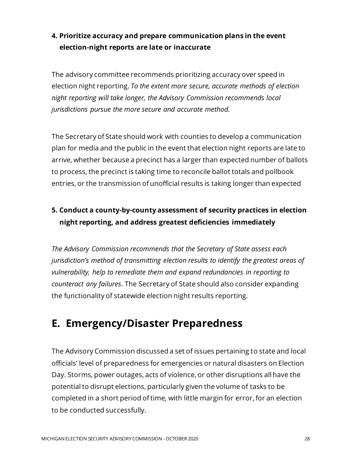#### **4. Prioritize accuracy and prepare communication plans in the event election-night reports are late or inaccurate**

The advisory committee recommends prioritizing accuracy over speed in election night reporting. *To the extent more secure, accurate methods of election night reporting will take longer, the Advisory Commission recommends local jurisdictions pursue the more secure and accurate method.*

The Secretary of State should work with counties to develop a communication plan for media and the public in the event that election night reports are late to arrive, whether because a precinct has a larger than expected number of ballots to process, the precinct is taking time to reconcile ballot totals and pollbook entries, or the transmission of unofficial results is taking longer than expected

#### **5. Conduct a county-by-county assessment of security practices in election night reporting, and address greatest deficiencies immediately**

*The Advisory Commission recommends that the Secretary of State assess each jurisdiction's method of transmitting election results to identify the greatest areas of vulnerability, help to remediate them and expand redundancies in reporting to counteract any failures*. The Secretary of State should also consider expanding the functionality of statewide election night results reporting.

## **E. Emergency/Disaster Preparedness**

The Advisory Commission discussed a set of issues pertaining to state and local officials' level of preparedness for emergencies or natural disasters on Election Day. Storms, power outages, acts of violence, or other disruptions all have the potential to disrupt elections, particularly given the volume of tasks to be completed in a short period of time, with little margin for error, for an election to be conducted successfully.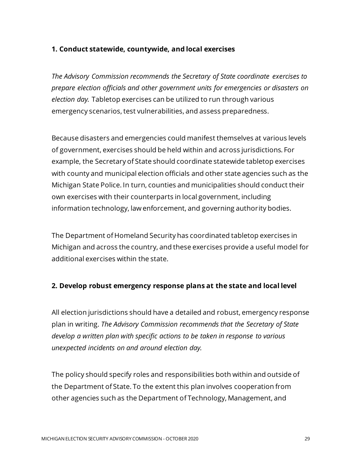#### **1. Conduct statewide, countywide, and local exercises**

*The Advisory Commission recommends the Secretary of State coordinate exercises to prepare election officials and other government units for emergencies or disasters on election day.* Tabletop exercises can be utilized to run through various emergency scenarios, test vulnerabilities, and assess preparedness.

Because disasters and emergencies could manifest themselves at various levels of government, exercises should be held within and across jurisdictions. For example, the Secretary of State should coordinate statewide tabletop exercises with county and municipal election officials and other state agencies such as the Michigan State Police. In turn, counties and municipalities should conduct their own exercises with their counterparts in local government, including information technology, law enforcement, and governing authority bodies.

The Department of Homeland Security has coordinated tabletop exercises in Michigan and across the country, and these exercises provide a useful model for additional exercises within the state.

#### **2. Develop robust emergency response plans at the state and local level**

All election jurisdictions should have a detailed and robust, emergency response plan in writing. *The Advisory Commission recommends that the Secretary of State develop a written plan with specific actions to be taken in response to various unexpected incidents on and around election day.*

The policy should specify roles and responsibilities both within and outside of the Department of State. To the extent this plan involves cooperation from other agencies such as the Department of Technology, Management, and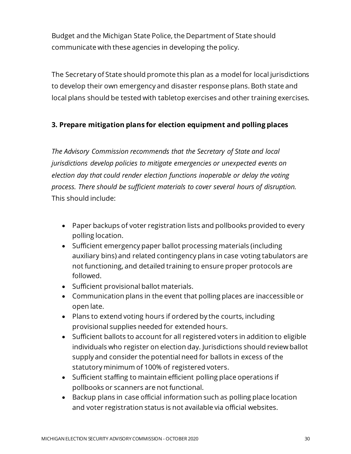Budget and the Michigan State Police, the Department of State should communicate with these agencies in developing the policy.

The Secretary of State should promote this plan as a model for local jurisdictions to develop their own emergency and disaster response plans. Both state and local plans should be tested with tabletop exercises and other training exercises.

#### **3. Prepare mitigation plans for election equipment and polling places**

*The Advisory Commission recommends that the Secretary of State and local jurisdictions develop policies to mitigate emergencies or unexpected events on election day that could render election functions inoperable or delay the voting process. There should be sufficient materials to cover several hours of disruption.* This should include:

- Paper backups of voter registration lists and pollbooks provided to every polling location.
- Sufficient emergency paper ballot processing materials (including auxiliary bins) and related contingency plans in case voting tabulators are not functioning, and detailed training to ensure proper protocols are followed.
- Sufficient provisional ballot materials.
- Communication plans in the event that polling places are inaccessible or open late.
- Plans to extend voting hours if ordered by the courts, including provisional supplies needed for extended hours.
- Sufficient ballots to account for all registered voters in addition to eligible individuals who register on election day. Jurisdictions should review ballot supply and consider the potential need for ballots in excess of the statutory minimum of 100% of registered voters.
- Sufficient staffing to maintain efficient polling place operations if pollbooks or scanners are not functional.
- Backup plans in case official information such as polling place location and voter registration status is not available via official websites.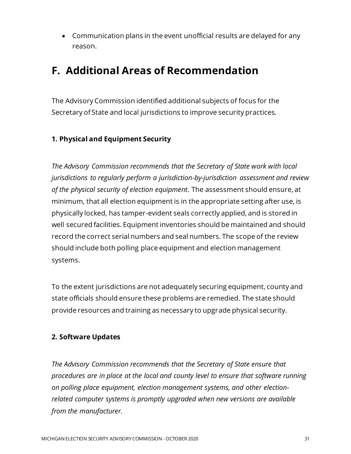• Communication plans in the event unofficial results are delayed for any reason.

## **F. Additional Areas of Recommendation**

The Advisory Commission identified additional subjects of focus for the Secretary of State and local jurisdictions to improve security practices.

#### **1. Physical and Equipment Security**

*The Advisory Commission recommends that the Secretary of State work with local jurisdictions to regularly perform a jurisdiction-by-jurisdiction assessment and review of the physical security of election equipment*. The assessment should ensure, at minimum, that all election equipment is in the appropriate setting after use, is physically locked, has tamper-evident seals correctly applied, and is stored in well secured facilities. Equipment inventories should be maintained and should record the correct serial numbers and seal numbers. The scope of the review should include both polling place equipment and election management systems.

To the extent jurisdictions are not adequately securing equipment, county and state officials should ensure these problems are remedied. The state should provide resources and training as necessary to upgrade physical security.

#### **2. Software Updates**

*The Advisory Commission recommends that the Secretary of State ensure that procedures are in place at the local and county level to ensure that software running on polling place equipment, election management systems, and other electionrelated computer systems is promptly upgraded when new versions are available from the manufacturer.*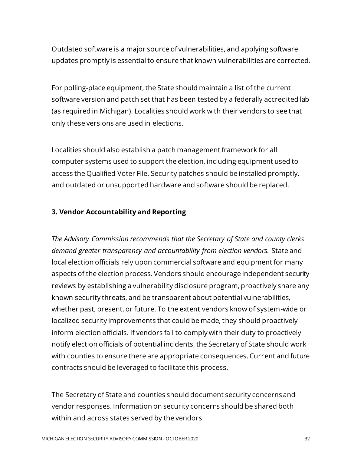Outdated software is a major source of vulnerabilities, and applying software updates promptly is essential to ensure that known vulnerabilities are corrected.

For polling-place equipment, the State should maintain a list of the current software version and patch set that has been tested by a federally accredited lab (as required in Michigan). Localities should work with their vendors to see that only these versions are used in elections.

Localities should also establish a patch management framework for all computer systems used to support the election, including equipment used to access the Qualified Voter File. Security patches should be installed promptly, and outdated or unsupported hardware and software should be replaced.

#### **3. Vendor Accountability and Reporting**

*The Advisory Commission recommends that the Secretary of State and county clerks demand greater transparency and accountability from election vendors.* State and local election officials rely upon commercial software and equipment for many aspects of the election process. Vendors should encourage independent security reviews by establishing a vulnerability disclosure program, proactively share any known security threats, and be transparent about potential vulnerabilities, whether past, present, or future. To the extent vendors know of system-wide or localized security improvements that could be made, they should proactively inform election officials. If vendors fail to comply with their duty to proactively notify election officials of potential incidents, the Secretary of State should work with counties to ensure there are appropriate consequences. Current and future contracts should be leveraged to facilitate this process.

The Secretary of State and counties should document security concerns and vendor responses. Information on security concerns should be shared both within and across states served by the vendors.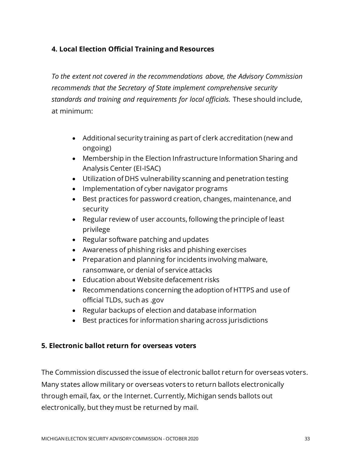#### **4. Local Election Official Training and Resources**

*To the extent not covered in the recommendations above, the Advisory Commission recommends that the Secretary of State implement comprehensive security standards and training and requirements for local officials.* These should include, at minimum:

- Additional security training as part of clerk accreditation (new and ongoing)
- Membership in the Election Infrastructure Information Sharing and Analysis Center (EI-ISAC)
- Utilization of DHS vulnerability scanning and penetration testing
- Implementation of cyber navigator programs
- Best practices for password creation, changes, maintenance, and security
- Regular review of user accounts, following the principle of least privilege
- Regular software patching and updates
- Awareness of phishing risks and phishing exercises
- Preparation and planning for incidents involving malware, ransomware, or denial of service attacks
- Education about Website defacement risks
- Recommendations concerning the adoption of HTTPS and use of official TLDs, such as .gov
- Regular backups of election and database information
- Best practices for information sharing across jurisdictions

#### **5. Electronic ballot return for overseas voters**

The Commission discussed the issue of electronic ballot return for overseas voters. Many states allow military or overseas voters to return ballots electronically through email, fax, or the Internet. Currently, Michigan sends ballots out electronically, but they must be returned by mail.